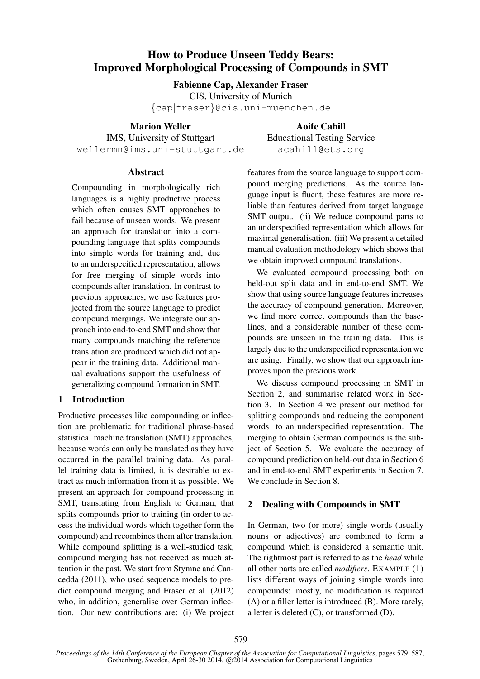# How to Produce Unseen Teddy Bears: Improved Morphological Processing of Compounds in SMT

Fabienne Cap, Alexander Fraser

CIS, University of Munich

{cap|fraser}@cis.uni-muenchen.de

Marion Weller

Aoife Cahill Educational Testing Service acahill@ets.org

IMS, University of Stuttgart wellermn@ims.uni-stuttgart.de

### Abstract

Compounding in morphologically rich languages is a highly productive process which often causes SMT approaches to fail because of unseen words. We present an approach for translation into a compounding language that splits compounds into simple words for training and, due to an underspecified representation, allows for free merging of simple words into compounds after translation. In contrast to previous approaches, we use features projected from the source language to predict compound mergings. We integrate our approach into end-to-end SMT and show that many compounds matching the reference translation are produced which did not appear in the training data. Additional manual evaluations support the usefulness of generalizing compound formation in SMT.

## 1 Introduction

Productive processes like compounding or inflection are problematic for traditional phrase-based statistical machine translation (SMT) approaches, because words can only be translated as they have occurred in the parallel training data. As parallel training data is limited, it is desirable to extract as much information from it as possible. We present an approach for compound processing in SMT, translating from English to German, that splits compounds prior to training (in order to access the individual words which together form the compound) and recombines them after translation. While compound splitting is a well-studied task, compound merging has not received as much attention in the past. We start from Stymne and Cancedda (2011), who used sequence models to predict compound merging and Fraser et al. (2012) who, in addition, generalise over German inflection. Our new contributions are: (i) We project

features from the source language to support compound merging predictions. As the source language input is fluent, these features are more reliable than features derived from target language SMT output. (ii) We reduce compound parts to an underspecified representation which allows for maximal generalisation. (iii) We present a detailed manual evaluation methodology which shows that we obtain improved compound translations.

We evaluated compound processing both on held-out split data and in end-to-end SMT. We show that using source language features increases the accuracy of compound generation. Moreover, we find more correct compounds than the baselines, and a considerable number of these compounds are unseen in the training data. This is largely due to the underspecified representation we are using. Finally, we show that our approach improves upon the previous work.

We discuss compound processing in SMT in Section 2, and summarise related work in Section 3. In Section 4 we present our method for splitting compounds and reducing the component words to an underspecified representation. The merging to obtain German compounds is the subject of Section 5. We evaluate the accuracy of compound prediction on held-out data in Section 6 and in end-to-end SMT experiments in Section 7. We conclude in Section 8.

## 2 Dealing with Compounds in SMT

In German, two (or more) single words (usually nouns or adjectives) are combined to form a compound which is considered a semantic unit. The rightmost part is referred to as the *head* while all other parts are called *modifiers*. EXAMPLE (1) lists different ways of joining simple words into compounds: mostly, no modification is required (A) or a filler letter is introduced (B). More rarely, a letter is deleted (C), or transformed (D).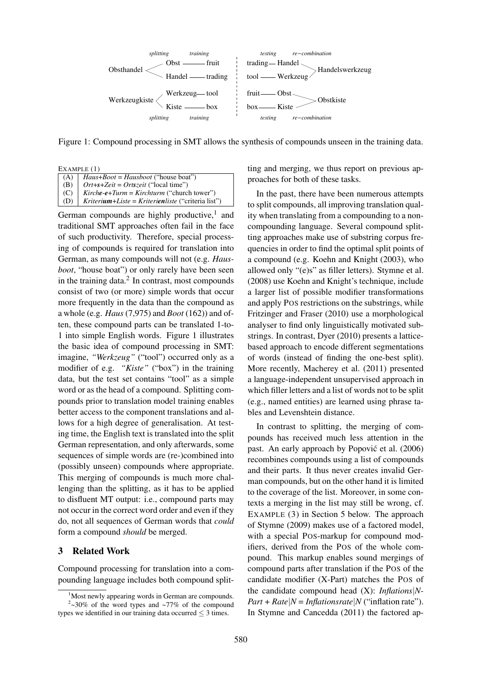

Figure 1: Compound processing in SMT allows the synthesis of compounds unseen in the training data.

EXAMPLE (1)

|         | $(A)$ <i>Haus+Boot = Hausboot</i> ("house boat")      |
|---------|-------------------------------------------------------|
| (B)     | $\int$ <i>Ort+s+Zeit = Ortszeit</i> ("local time")    |
| (C)     | $Kirche-e+Turn = Kirchturm$ ("church tower")          |
| $(D)$ . | $Kriterium+Liste = Kriterien liste$ ("criteria list") |

German compounds are highly productive,<sup>1</sup> and traditional SMT approaches often fail in the face of such productivity. Therefore, special processing of compounds is required for translation into German, as many compounds will not (e.g. *Hausboot*, "house boat") or only rarely have been seen in the training data. $2$  In contrast, most compounds consist of two (or more) simple words that occur more frequently in the data than the compound as a whole (e.g. *Haus* (7,975) and *Boot* (162)) and often, these compound parts can be translated 1-to-1 into simple English words. Figure 1 illustrates the basic idea of compound processing in SMT: imagine, "Werkzeug" ("tool") occurred only as a modifier of e.g. *"Kiste"* ("box") in the training data, but the test set contains "tool" as a simple word or as the head of a compound. Splitting compounds prior to translation model training enables better access to the component translations and allows for a high degree of generalisation. At testing time, the English text is translated into the split German representation, and only afterwards, some sequences of simple words are (re-)combined into (possibly unseen) compounds where appropriate. This merging of compounds is much more challenging than the splitting, as it has to be applied to disfluent MT output: i.e., compound parts may not occur in the correct word order and even if they do, not all sequences of German words that *could* form a compound *should* be merged.

#### 3 Related Work

Compound processing for translation into a compounding language includes both compound splitting and merging, we thus report on previous approaches for both of these tasks.

In the past, there have been numerous attempts to split compounds, all improving translation quality when translating from a compounding to a noncompounding language. Several compound splitting approaches make use of substring corpus frequencies in order to find the optimal split points of a compound (e.g. Koehn and Knight (2003), who allowed only "(e)s" as filler letters). Stymne et al. (2008) use Koehn and Knight's technique, include a larger list of possible modifier transformations and apply POS restrictions on the substrings, while Fritzinger and Fraser (2010) use a morphological analyser to find only linguistically motivated substrings. In contrast, Dyer (2010) presents a latticebased approach to encode different segmentations of words (instead of finding the one-best split). More recently, Macherey et al. (2011) presented a language-independent unsupervised approach in which filler letters and a list of words not to be split (e.g., named entities) are learned using phrase tables and Levenshtein distance.

In contrast to splitting, the merging of compounds has received much less attention in the past. An early approach by Popović et al. (2006) recombines compounds using a list of compounds and their parts. It thus never creates invalid German compounds, but on the other hand it is limited to the coverage of the list. Moreover, in some contexts a merging in the list may still be wrong, cf. EXAMPLE (3) in Section 5 below. The approach of Stymne (2009) makes use of a factored model, with a special POS-markup for compound modifiers, derived from the POS of the whole compound. This markup enables sound mergings of compound parts after translation if the POS of the candidate modifier (X-Part) matches the POS of the candidate compound head (X): *Inflations*|*N-* $Part + Rate \mid N = Inflationstrate \mid N$  ("inflation rate"). In Stymne and Cancedda (2011) the factored ap-

 $1$ Most newly appearing words in German are compounds.  $2$ ~30% of the word types and ~77% of the compound

types we identified in our training data occurred  $\leq$  3 times.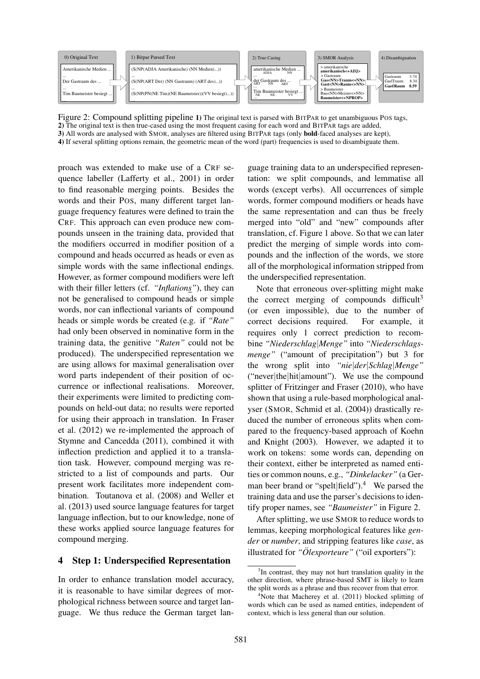

Figure 2: Compound splitting pipeline 1) The original text is parsed with BITPAR to get unambiguous POS tags, 2) The original text is then true-cased using the most frequent casing for each word and BITPAR tags are added,

3) All words are analysed with SMOR, analyses are filtered using BITPAR tags (only bold-faced analyses are kept), 4) If several splitting options remain, the geometric mean of the word (part) frequencies is used to disambiguate them.

proach was extended to make use of a CRF sequence labeller (Lafferty et al., 2001) in order to find reasonable merging points. Besides the words and their POS, many different target language frequency features were defined to train the CRF. This approach can even produce new compounds unseen in the training data, provided that the modifiers occurred in modifier position of a compound and heads occurred as heads or even as simple words with the same inflectional endings. However, as former compound modifiers were left with their filler letters (cf. *"Inflations"*), they can not be generalised to compound heads or simple words, nor can inflectional variants of compound heads or simple words be created (e.g. if *"Rate"* had only been observed in nominative form in the training data, the genitive *"Raten"* could not be produced). The underspecified representation we are using allows for maximal generalisation over word parts independent of their position of occurrence or inflectional realisations. Moreover, their experiments were limited to predicting compounds on held-out data; no results were reported for using their approach in translation. In Fraser et al. (2012) we re-implemented the approach of Stymne and Cancedda (2011), combined it with inflection prediction and applied it to a translation task. However, compound merging was restricted to a list of compounds and parts. Our present work facilitates more independent combination. Toutanova et al. (2008) and Weller et al. (2013) used source language features for target language inflection, but to our knowledge, none of these works applied source language features for compound merging.

#### 4 Step 1: Underspecified Representation

In order to enhance translation model accuracy, it is reasonable to have similar degrees of morphological richness between source and target language. We thus reduce the German target lan-

guage training data to an underspecified representation: we split compounds, and lemmatise all words (except verbs). All occurrences of simple words, former compound modifiers or heads have the same representation and can thus be freely merged into "old" and "new" compounds after translation, cf. Figure 1 above. So that we can later predict the merging of simple words into compounds and the inflection of the words, we store all of the morphological information stripped from the underspecified representation.

Note that erroneous over-splitting might make the correct merging of compounds difficult<sup>3</sup> (or even impossible), due to the number of correct decisions required. For example, it requires only 1 correct prediction to recombine *"Niederschlag*|*Menge"* into *"Niederschlagsmenge"* ("amount of precipitation") but 3 for the wrong split into *"nie*|*der*|*Schlag*|*Menge"* ("never|the|hit|amount"). We use the compound splitter of Fritzinger and Fraser (2010), who have shown that using a rule-based morphological analyser (SMOR, Schmid et al. (2004)) drastically reduced the number of erroneous splits when compared to the frequency-based approach of Koehn and Knight (2003). However, we adapted it to work on tokens: some words can, depending on their context, either be interpreted as named entities or common nouns, e.g., *"Dinkelacker"* (a German beer brand or "spelt|field").<sup>4</sup> We parsed the training data and use the parser's decisions to identify proper names, see *"Baumeister"* in Figure 2.

After splitting, we use SMOR to reduce words to lemmas, keeping morphological features like *gender* or *number*, and stripping features like *case*, as illustrated for *"Olexporteure" ¨* ("oil exporters"):

<sup>&</sup>lt;sup>3</sup>In contrast, they may not hurt translation quality in the other direction, where phrase-based SMT is likely to learn the split words as a phrase and thus recover from that error.

 $4$ Note that Macherey et al. (2011) blocked splitting of words which can be used as named entities, independent of context, which is less general than our solution.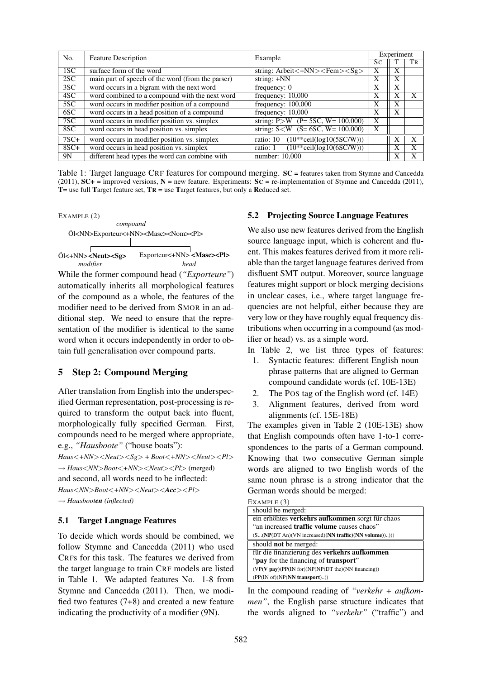| No.    | <b>Feature Description</b>                        | Example                                                                |              | Experiment |    |
|--------|---------------------------------------------------|------------------------------------------------------------------------|--------------|------------|----|
|        |                                                   |                                                                        | Sc           |            | TR |
| 1SC    | surface form of the word                          | string: Arbeit $\langle +NN \rangle \langle$ Fem $>\langle Sg \rangle$ | X            | X          |    |
| 2SC    | main part of speech of the word (from the parser) | string: $+NN$                                                          | X            | X          |    |
| 3SC    | word occurs in a bigram with the next word        | frequency: 0                                                           | X            | X          |    |
| 4SC    | word combined to a compound with the next word    | frequency: 10,000                                                      | X            | Х          |    |
| 5SC    | word occurs in modifier position of a compound    | frequency: $100,000$                                                   | X            | X          |    |
| 6SC    | word occurs in a head position of a compound      | frequency: 10,000                                                      | X            | X          |    |
| 7SC    | word occurs in modifier position vs. simplex      | string: $P>W$ (P= 5SC, W= 100,000)                                     | X            |            |    |
| 8SC    | word occurs in head position vs. simplex          | string: $S < W$ (S= 6SC, W= 100,000)                                   | $\mathbf{x}$ |            |    |
| $7SC+$ | word occurs in modifier position vs. simplex      | $(10**ceil(log10(5SC/W)))$<br>ratio: 10                                |              |            | X  |
| $8SC+$ | word occurs in head position vs. simplex          | $(10**ceil(log10(6SC/W)))$<br>ratio: 1                                 |              | Х          |    |
| 9N     | different head types the word can combine with    | number: 10,000                                                         |              | X          |    |

Table 1: Target language CRF features for compound merging. SC = features taken from Stymne and Cancedda (2011),  $SC_+$  = improved versions,  $N$  = new feature. Experiments:  $SC = re$ -implementation of Stymne and Cancedda (2011), T= use full Target feature set,  $TR$  = use Target features, but only a Reduced set.



While the former compound head (*"Exporteure"*) automatically inherits all morphological features of the compound as a whole, the features of the modifier need to be derived from SMOR in an additional step. We need to ensure that the representation of the modifier is identical to the same word when it occurs independently in order to obtain full generalisation over compound parts.

## 5 Step 2: Compound Merging

After translation from English into the underspecified German representation, post-processing is required to transform the output back into fluent, morphologically fully specified German. First, compounds need to be merged where appropriate, e.g., *"Hausboote"* ("house boats"): *Haus*<*+NN*><*Neut*><*Sg*> + *Boot*<*+NN*><*Neut*><*Pl*>

→ *Haus*<*NN*>*Boot*<*+NN*><*Neut*><*Pl*> (merged) and second, all words need to be inflected: *Haus*<*NN*>*Boot*<*+NN*><*Neut*><*Acc*><*Pl*> → *Hausbooten (inflected)*

#### 5.1 Target Language Features

To decide which words should be combined, we follow Stymne and Cancedda (2011) who used CRFs for this task. The features we derived from the target language to train CRF models are listed in Table 1. We adapted features No. 1-8 from Stymne and Cancedda (2011). Then, we modified two features (7+8) and created a new feature indicating the productivity of a modifier (9N).

### 5.2 Projecting Source Language Features

We also use new features derived from the English source language input, which is coherent and fluent. This makes features derived from it more reliable than the target language features derived from disfluent SMT output. Moreover, source language features might support or block merging decisions in unclear cases, i.e., where target language frequencies are not helpful, either because they are very low or they have roughly equal frequency distributions when occurring in a compound (as modifier or head) vs. as a simple word.

- In Table 2, we list three types of features:
	- 1. Syntactic features: different English noun phrase patterns that are aligned to German compound candidate words (cf. 10E-13E)
- 2. The POS tag of the English word (cf. 14E)
- 3. Alignment features, derived from word alignments (cf. 15E-18E)

The examples given in Table 2 (10E-13E) show that English compounds often have 1-to-1 correspondences to the parts of a German compound. Knowing that two consecutive German simple words are aligned to two English words of the same noun phrase is a strong indicator that the German words should be merged:

| EXAMPLE (3)                                            |
|--------------------------------------------------------|
| should be merged:                                      |
| ein erhöhtes verkehrs aufkommen sorgt für chaos        |
| "an increased <b>traffic volume</b> causes chaos"      |
| $(S(NP(DT An)(VN increase) (NN traffic)(NN volume))))$ |
| should <b>not</b> be merged:                           |
| für die finanzierung des verkehrs aufkommen            |
| "pay for the financing of transport"                   |
| $(VP(V pav)(PP(IN for)(NP(NP(DT the)(NN financing)))$  |
| (PP(IN of)(NP(NN transport)))                          |

In the compound reading of *"verkehr + aufkommen"*, the English parse structure indicates that the words aligned to *"verkehr"* ("traffic") and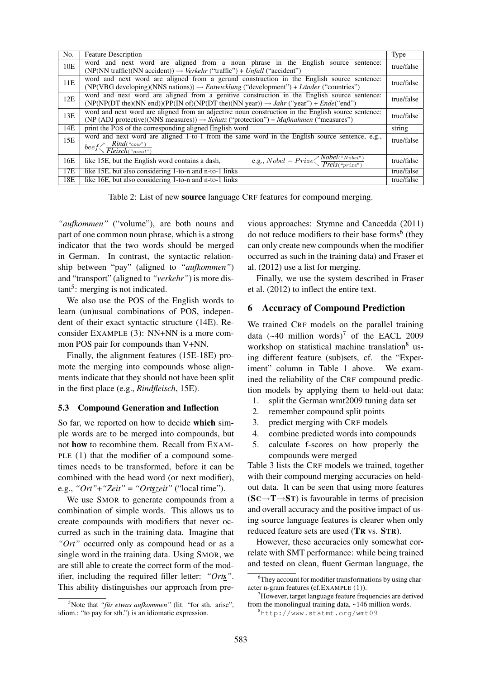| No. | <b>Feature Description</b>                                                                                                                                                                                           | Type       |
|-----|----------------------------------------------------------------------------------------------------------------------------------------------------------------------------------------------------------------------|------------|
| 10E | word and next word are aligned from a noun phrase in the English source sentence:<br>(NP(NN traffic)(NN accident)) $\rightarrow$ Verkehr ("traffic") + Unfall ("accident")                                           | true/false |
| 11E | word and next word are aligned from a gerund construction in the English source sentence:<br>(NP(VBG developing)(NNS nations)) $\rightarrow Entwicklung$ ("development") + Länder ("countries")                      | true/false |
| 12E | word and next word are aligned from a genitive construction in the English source sentence:<br>$(NP(NP(DT the)(NN end))(PP(IN of)(NP(DT the)(NN year)) \rightarrow Jahr ("year") + Ende("end")$                      | true/false |
| 13E | word and next word are aligned from an adjective noun construction in the English source sentence:<br>(NP (ADJ protective)(NNS measures)) $\rightarrow$ <i>Schutz</i> ("protection") + <i>Maßnahmen</i> ("measures") | true/false |
| 14E | print the Pos of the corresponding aligned English word                                                                                                                                                              | string     |
| 15E | word and next word are aligned 1-to-1 from the same word in the English source sentence, e.g.,<br>beef $\sqrt{\frac{Rind("cow")}{Fleisch("meat")}}$                                                                  | true/false |
| 16E | e.g., $Nobel - Prize \left\langle \frac{Nobel("Nobel")}{Preis("mize")}\right\rangle$<br>like 15E, but the English word contains a dash,                                                                              | true/false |
| 17E | like 15E, but also considering 1-to-n and n-to-1 links                                                                                                                                                               | true/false |
| 18E | like 16E, but also considering 1-to-n and n-to-1 links                                                                                                                                                               | true/false |

Table 2: List of new source language CRF features for compound merging.

*"aufkommen"* ("volume"), are both nouns and part of one common noun phrase, which is a strong indicator that the two words should be merged in German. In contrast, the syntactic relationship between "pay" (aligned to *"aufkommen"*) and "transport" (aligned to *"verkehr"*) is more distant<sup>5</sup>: merging is not indicated.

We also use the POS of the English words to learn (un)usual combinations of POS, independent of their exact syntactic structure (14E). Reconsider EXAMPLE (3): NN+NN is a more common POS pair for compounds than V+NN.

Finally, the alignment features (15E-18E) promote the merging into compounds whose alignments indicate that they should not have been split in the first place (e.g., *Rindfleisch*, 15E).

#### 5.3 Compound Generation and Inflection

So far, we reported on how to decide which simple words are to be merged into compounds, but not how to recombine them. Recall from EXAM-PLE (1) that the modifier of a compound sometimes needs to be transformed, before it can be combined with the head word (or next modifier), e.g., *"Ort"*+*"Zeit"* = *"Ortszeit"* ("local time").

We use SMOR to generate compounds from a combination of simple words. This allows us to create compounds with modifiers that never occurred as such in the training data. Imagine that *"Ort"* occurred only as compound head or as a single word in the training data. Using SMOR, we are still able to create the correct form of the modifier, including the required filler letter: *"Orts"*. This ability distinguishes our approach from pre-

vious approaches: Stymne and Cancedda (2011) do not reduce modifiers to their base forms<sup>6</sup> (they can only create new compounds when the modifier occurred as such in the training data) and Fraser et al. (2012) use a list for merging.

Finally, we use the system described in Fraser et al. (2012) to inflect the entire text.

## 6 Accuracy of Compound Prediction

We trained CRF models on the parallel training data  $(-40 \text{ million words})^7$  of the EACL 2009 workshop on statistical machine translation<sup>8</sup> using different feature (sub)sets, cf. the "Experiment" column in Table 1 above. We examined the reliability of the CRF compound prediction models by applying them to held-out data:

- 1. split the German wmt2009 tuning data set
- 2. remember compound split points
- 3. predict merging with CRF models
- 4. combine predicted words into compounds
- 5. calculate f-scores on how properly the compounds were merged

Table 3 lists the CRF models we trained, together with their compound merging accuracies on heldout data. It can be seen that using more features  $(SC \rightarrow T \rightarrow ST)$  is favourable in terms of precision and overall accuracy and the positive impact of using source language features is clearer when only reduced feature sets are used (TR vs. STR).

However, these accuracies only somewhat correlate with SMT performance: while being trained and tested on clean, fluent German language, the

<sup>&</sup>lt;sup>5</sup>Note that *"für etwas aufkommen"* (lit. "for sth. arise", idiom.: "to pay for sth.") is an idiomatic expression.

<sup>&</sup>lt;sup>6</sup>They account for modifier transformations by using character n-gram features (cf.EXAMPLE (1)).

 $7$ However, target language feature frequencies are derived from the monolingual training data, ~146 million words.

<sup>8</sup>http://www.statmt.org/wmt09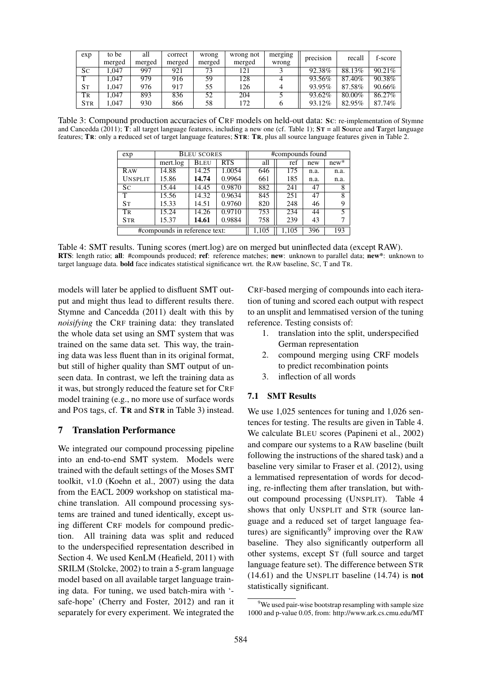| exp        | to be  | all    | correct | wrong  | wrong not | merging | precision | recall | f-score |
|------------|--------|--------|---------|--------|-----------|---------|-----------|--------|---------|
|            | merged | merged | merged  | merged | merged    | wrong   |           |        |         |
| Sc         | .047   | 997    | 921     |        | 121       |         | 92.38%    | 88.13% | 90.21%  |
| m          | .047   | 979    | 916     | 59     | 128       |         | 93.56%    | 87.40% | 90.38%  |
| <b>S</b> T | .047   | 976    | 917     | 55     | 126       |         | 93.95%    | 87.58% | 90.66%  |
| Tr         | .047   | 893    | 836     | 52     | 204       |         | 93.62%    | 80.00% | 86.27%  |
| <b>STR</b> | .047   | 930    | 866     | 58     | 172       |         | 93.12%    | 82.95% | 87.74%  |

Table 3: Compound production accuracies of CRF models on held-out data: SC: re-implementation of Stymne and Cancedda (2011);  $\hat{\mathbf{T}}$ : all target language features, including a new one (cf. Table 1);  $\hat{\mathbf{S}}\hat{\mathbf{T}}$  = all Source and Target language features; TR: only a reduced set of target language features; STR: TR, plus all source language features given in Table 2.

| exp            | <b>BLEU SCORES</b>            |             |            |     | #compounds found |      |        |
|----------------|-------------------------------|-------------|------------|-----|------------------|------|--------|
|                | mert.log                      | <b>BLEU</b> | <b>RTS</b> | all | ref              | new  | $new*$ |
| <b>RAW</b>     | 14.88                         | 14.25       | 1.0054     | 646 | 175              | n.a. | n.a.   |
| <b>UNSPLIT</b> | 15.86                         | 14.74       | 0.9964     | 661 | 185              | n.a. | n.a.   |
| Sc             | 15.44                         | 14.45       | 0.9870     | 882 | 241              | 47   | 8      |
| T              | 15.56                         | 14.32       | 0.9634     | 845 | 251              | 47   | 8      |
| <b>ST</b>      | 15.33                         | 14.51       | 0.9760     | 820 | 248              | 46   | 9      |
| TR             | 15.24                         | 14.26       | 0.9710     | 753 | 234              | 44   | 5      |
| <b>STR</b>     | 15.37                         | 14.61       | 0.9884     | 758 | 239              | 43   | 7      |
|                | #compounds in reference text: |             |            |     | 1,105            | 396  | 193    |

Table 4: SMT results. Tuning scores (mert.log) are on merged but uninflected data (except RAW). RTS: length ratio; all: #compounds produced; ref: reference matches; new: unknown to parallel data; new\*: unknown to target language data. bold face indicates statistical significance wrt. the RAW baseline, SC, T and TR.

models will later be applied to disfluent SMT output and might thus lead to different results there. Stymne and Cancedda (2011) dealt with this by *noisifying* the CRF training data: they translated the whole data set using an SMT system that was trained on the same data set. This way, the training data was less fluent than in its original format, but still of higher quality than SMT output of unseen data. In contrast, we left the training data as it was, but strongly reduced the feature set for CRF model training (e.g., no more use of surface words and POS tags, cf. TR and STR in Table 3) instead.

## 7 Translation Performance

We integrated our compound processing pipeline into an end-to-end SMT system. Models were trained with the default settings of the Moses SMT toolkit, v1.0 (Koehn et al., 2007) using the data from the EACL 2009 workshop on statistical machine translation. All compound processing systems are trained and tuned identically, except using different CRF models for compound prediction. All training data was split and reduced to the underspecified representation described in Section 4. We used KenLM (Heafield, 2011) with SRILM (Stolcke, 2002) to train a 5-gram language model based on all available target language training data. For tuning, we used batch-mira with ' safe-hope' (Cherry and Foster, 2012) and ran it separately for every experiment. We integrated the CRF-based merging of compounds into each iteration of tuning and scored each output with respect to an unsplit and lemmatised version of the tuning reference. Testing consists of:

- 1. translation into the split, underspecified German representation
- 2. compound merging using CRF models to predict recombination points
- 3. inflection of all words

## 7.1 SMT Results

We use 1,025 sentences for tuning and 1,026 sentences for testing. The results are given in Table 4. We calculate BLEU scores (Papineni et al., 2002) and compare our systems to a RAW baseline (built following the instructions of the shared task) and a baseline very similar to Fraser et al. (2012), using a lemmatised representation of words for decoding, re-inflecting them after translation, but without compound processing (UNSPLIT). Table 4 shows that only UNSPLIT and STR (source language and a reduced set of target language features) are significantly $9$  improving over the RAW baseline. They also significantly outperform all other systems, except ST (full source and target language feature set). The difference between STR (14.61) and the UNSPLIT baseline (14.74) is not statistically significant.

 $9$ We used pair-wise bootstrap resampling with sample size 1000 and p-value 0.05, from: http://www.ark.cs.cmu.edu/MT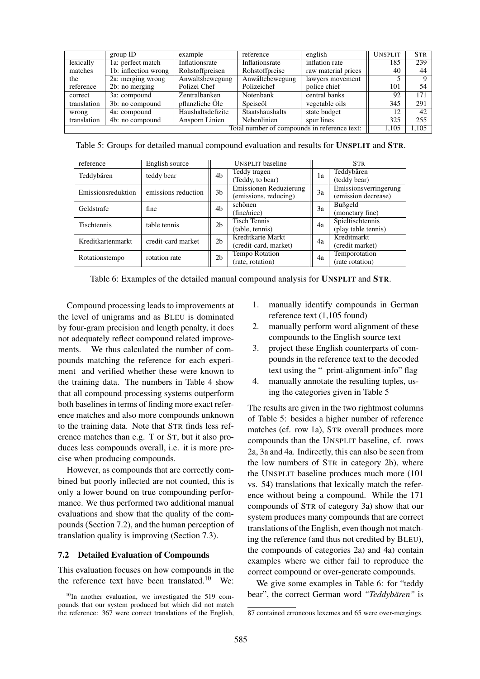|             | group ID             | example           | reference                                    | english             | <b>UNSPLIT</b> | <b>STR</b>     |
|-------------|----------------------|-------------------|----------------------------------------------|---------------------|----------------|----------------|
| lexically   | 1a: perfect match    | Inflationsrate    | Inflationsrate                               | inflation rate      | 185            | 239            |
| matches     | 1b: inflection wrong | Rohstoffpreisen   | Rohstoffpreise                               | raw material prices | 40             | 44             |
| the         | 2a: merging wrong    | Anwaltsbewegung   | Anwältebewegung                              | lawyers movement    |                | $\overline{Q}$ |
| reference   | 2b: no merging       | Polizei Chef      | Polizeichef                                  | police chief        | 101            | 54             |
| correct     | 3a: compound         | Zentralbanken     | Notenbank                                    | central banks       | 92             | 171            |
| translation | 3b: no compound      | pflanzliche Öle   | Speiseöl                                     | vegetable oils      | 345            | 291            |
| wrong       | 4a: compound         | Haushaltsdefizite | Staatshaushalts                              | state budget        | 12             | 42.            |
| translation | 4b: no compound      | Ansporn Linien    | Nebenlinien                                  | spur lines          | 325            | 255            |
|             |                      |                   | Total number of compounds in reference text: |                     | 1.105          | 1.105          |

Table 5: Groups for detailed manual compound evaluation and results for UNSPLIT and STR.

| reference          | English source      |                    | UNSPLIT baseline       |    | <b>STR</b>            |
|--------------------|---------------------|--------------------|------------------------|----|-----------------------|
| Teddybären         | teddy bear          | Teddy tragen<br>4b |                        | 1a | Teddybären            |
|                    |                     |                    | (Teddy, to bear)       |    | (teddy bear)          |
| Emissionsreduktion | emissions reduction | 3 <sub>b</sub>     | Emissionen Reduzierung | 3a | Emissionsverringerung |
|                    |                     |                    | (emissions, reducing)  |    | (emission decrease)   |
| Geldstrafe         | fine                | 4b                 | schönen                | 3a | Bußgeld               |
|                    |                     |                    | (fine/nice)            |    | (monetary fine)       |
| Tischtennis        | table tennis        | 2 <sub>b</sub>     | <b>Tisch Tennis</b>    | 4a | Spieltischtennis      |
|                    |                     |                    | (table, tennis)        |    | (play table tennis)   |
| Kreditkartenmarkt  | credit-card market  | 2 <sub>b</sub>     | Kreditkarte Markt      | 4a | Kreditmarkt           |
|                    |                     |                    | (credit-card, market)  |    | (credit market)       |
| Rotationstempo     | rotation rate       | 2 <sub>b</sub>     | Tempo Rotation         | 4a | Temporotation         |
|                    |                     |                    | (rate, rotation)       |    | (rate rotation)       |

Table 6: Examples of the detailed manual compound analysis for UNSPLIT and STR.

Compound processing leads to improvements at the level of unigrams and as BLEU is dominated by four-gram precision and length penalty, it does not adequately reflect compound related improvements. We thus calculated the number of compounds matching the reference for each experiment and verified whether these were known to the training data. The numbers in Table 4 show that all compound processing systems outperform both baselines in terms of finding more exact reference matches and also more compounds unknown to the training data. Note that STR finds less reference matches than e.g. T or ST, but it also produces less compounds overall, i.e. it is more precise when producing compounds.

However, as compounds that are correctly combined but poorly inflected are not counted, this is only a lower bound on true compounding performance. We thus performed two additional manual evaluations and show that the quality of the compounds (Section 7.2), and the human perception of translation quality is improving (Section 7.3).

#### 7.2 Detailed Evaluation of Compounds

This evaluation focuses on how compounds in the the reference text have been translated.<sup>10</sup> We:

- 1. manually identify compounds in German reference text (1,105 found)
- 2. manually perform word alignment of these compounds to the English source text
- 3. project these English counterparts of compounds in the reference text to the decoded text using the "–print-alignment-info" flag
- 4. manually annotate the resulting tuples, using the categories given in Table 5

The results are given in the two rightmost columns of Table 5: besides a higher number of reference matches (cf. row 1a), STR overall produces more compounds than the UNSPLIT baseline, cf. rows 2a, 3a and 4a. Indirectly, this can also be seen from the low numbers of STR in category 2b), where the UNSPLIT baseline produces much more (101 vs. 54) translations that lexically match the reference without being a compound. While the 171 compounds of STR of category 3a) show that our system produces many compounds that are correct translations of the English, even though not matching the reference (and thus not credited by BLEU), the compounds of categories 2a) and 4a) contain examples where we either fail to reproduce the correct compound or over-generate compounds.

We give some examples in Table 6: for "teddy bear", the correct German word "Teddybären" is

 $10$ In another evaluation, we investigated the 519 compounds that our system produced but which did not match the reference: 367 were correct translations of the English,

<sup>87</sup> contained erroneous lexemes and 65 were over-mergings.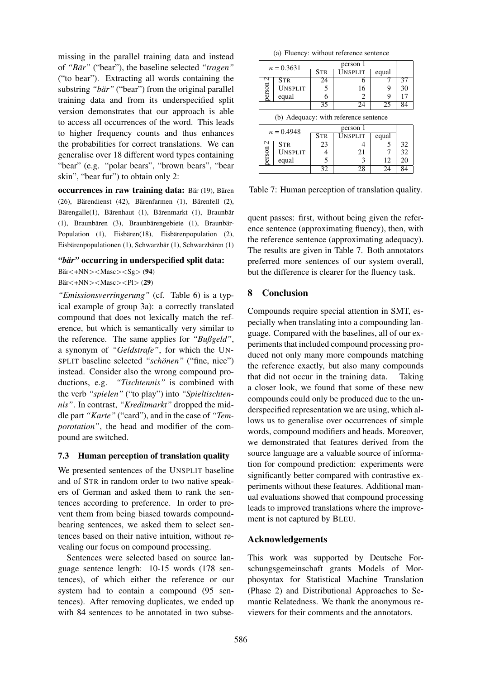missing in the parallel training data and instead of *"Bar" ¨* ("bear"), the baseline selected *"tragen"* ("to bear"). Extracting all words containing the substring "bär" ("bear") from the original parallel training data and from its underspecified split version demonstrates that our approach is able to access all occurrences of the word. This leads to higher frequency counts and thus enhances the probabilities for correct translations. We can generalise over 18 different word types containing "bear" (e.g. "polar bears", "brown bears", "bear skin", "bear fur") to obtain only 2:

occurrences in raw training data: Bär (19), Bären  $(26)$ , Bärendienst  $(42)$ , Bärenfarmen  $(1)$ , Bärenfell  $(2)$ , Bärengalle(1), Bärenhaut (1), Bärenmarkt (1), Braunbär (1), Braunbären (3), Braunbärengebiete (1), Braunbär-Population  $(1)$ , Eisbären $(18)$ , Eisbärenpopulation  $(2)$ , Eisbärenpopulationen (1), Schwarzbär (1), Schwarzbären (1)

#### *"bär"* occurring in underspecified split data:

 $Bär < +NN$  > < Masc > < Sg > (94)  $Bär < +NN$  > < Masc > < Pl > (29)

*"Emissionsverringerung"* (cf. Table 6) is a typical example of group 3a): a correctly translated compound that does not lexically match the reference, but which is semantically very similar to the reference. The same applies for *"Bußgeld"*, a synonym of *"Geldstrafe"*, for which the UN-SPLIT baseline selected *"schonen" ¨* ("fine, nice") instead. Consider also the wrong compound productions, e.g. *"Tischtennis"* is combined with the verb *"spielen"* ("to play") into *"Spieltischtennis"*. In contrast, *"Kreditmarkt"* dropped the middle part *"Karte"* ("card"), and in the case of *"Temporotation"*, the head and modifier of the compound are switched.

## 7.3 Human perception of translation quality

We presented sentences of the UNSPLIT baseline and of STR in random order to two native speakers of German and asked them to rank the sentences according to preference. In order to prevent them from being biased towards compoundbearing sentences, we asked them to select sentences based on their native intuition, without revealing our focus on compound processing.

Sentences were selected based on source language sentence length: 10-15 words (178 sentences), of which either the reference or our system had to contain a compound (95 sentences). After removing duplicates, we ended up with 84 sentences to be annotated in two subse-

|  |  |  | (a) Fluency: without reference sentence |  |
|--|--|--|-----------------------------------------|--|
|--|--|--|-----------------------------------------|--|

|  | $\kappa = 0.3631$<br>$\mathbf{\sim}$<br><b>STR</b><br>erson<br><b>UNSPLIT</b><br>equal |            | person 1                              |       |    |  |  |
|--|----------------------------------------------------------------------------------------|------------|---------------------------------------|-------|----|--|--|
|  |                                                                                        | <b>STR</b> | <b>UNSPLIT</b>                        | equal |    |  |  |
|  |                                                                                        | 24         |                                       |       | 37 |  |  |
|  |                                                                                        |            | 16                                    | 9     | 30 |  |  |
|  |                                                                                        | 6          | 2                                     | g     |    |  |  |
|  |                                                                                        | 35         | 24                                    | 25    |    |  |  |
|  |                                                                                        |            | (b) Adequacy: with reference sentence |       |    |  |  |
|  | $\kappa = 0.4948$                                                                      |            | person 1                              |       |    |  |  |
|  |                                                                                        | Str        | Unsplit                               | equal |    |  |  |
|  |                                                                                        |            |                                       |       |    |  |  |

|        | $K = 0.4940$   | <b>STR</b> | UNSPLIT | equal |    |
|--------|----------------|------------|---------|-------|----|
|        | <b>STR</b>     |            |         |       | 32 |
| ă<br>ž | <b>UNSPLIT</b> |            | 21      |       | 32 |
|        | equal          |            |         | 12    | 20 |
|        |                | 30         |         | 24    | 84 |

Table 7: Human perception of translation quality.

quent passes: first, without being given the reference sentence (approximating fluency), then, with the reference sentence (approximating adequacy). The results are given in Table 7. Both annotators preferred more sentences of our system overall, but the difference is clearer for the fluency task.

## 8 Conclusion

Compounds require special attention in SMT, especially when translating into a compounding language. Compared with the baselines, all of our experiments that included compound processing produced not only many more compounds matching the reference exactly, but also many compounds that did not occur in the training data. Taking a closer look, we found that some of these new compounds could only be produced due to the underspecified representation we are using, which allows us to generalise over occurrences of simple words, compound modifiers and heads. Moreover, we demonstrated that features derived from the source language are a valuable source of information for compound prediction: experiments were significantly better compared with contrastive experiments without these features. Additional manual evaluations showed that compound processing leads to improved translations where the improvement is not captured by BLEU.

## Acknowledgements

This work was supported by Deutsche Forschungsgemeinschaft grants Models of Morphosyntax for Statistical Machine Translation (Phase 2) and Distributional Approaches to Semantic Relatedness. We thank the anonymous reviewers for their comments and the annotators.